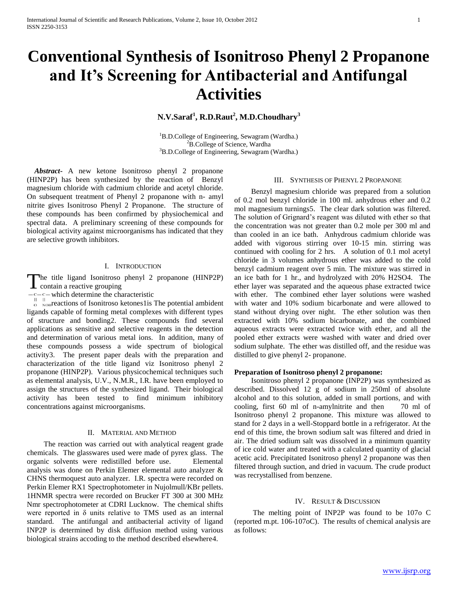# **Conventional Synthesis of Isonitroso Phenyl 2 Propanone and It's Screening for Antibacterial and Antifungal Activities**

# **N.V.Saraf<sup>1</sup> , R.D.Raut<sup>2</sup> , M.D.Choudhary<sup>3</sup>**

<sup>1</sup>B.D.College of Engineering, Sewagram (Wardha.) <sup>2</sup>B.College of Science, Wardha <sup>3</sup>B.D.College of Engineering, Sewagram (Wardha.)

 *Abstract***-** A new ketone Isonitroso phenyl 2 propanone (HINP2P) has been synthesized by the reaction of Benzyl magnesium chloride with cadmium chloride and acetyl chloride. On subsequent treatment of Phenyl 2 propanone with n- amyl nitrite gives Isonitroso Phenyl 2 Propanone. The structure of these compounds has been confirmed by physiochemical and spectral data. A preliminary screening of these compounds for biological activity against microorganisms has indicated that they are selective growth inhibitors.

#### I. INTRODUCTION

he title ligand Isonitroso phenyl 2 propanone (HINP2P) The title ligand Isonitroso<br>contain a reactive grouping

 $-c-c$  which determine the characteristic

 $\frac{1}{2}$   $\frac{1}{2}$  NOHT reactions of Isonitroso ketones1is The potential ambident ligands capable of forming metal complexes with different types of structure and bonding2. These compounds find several applications as sensitive and selective reagents in the detection 1.and determination of various metal ions. In addition, many of these compounds possess a wide spectrum of biological activity3. The present paper deals with the preparation and characterization of the title ligand viz Isonitroso phenyl 2 propanone (HINP2P). Various physicochemical techniques such as elemental analysis, U.V., N.M.R., I.R. have been employed to assign the structures of the synthesized ligand. Their biological activity has been tested to find minimum inhibitory concentrations against microorganisms.

#### II. MATERIAL AND METHOD

 The reaction was carried out with analytical reagent grade chemicals. The glasswares used were made of pyrex glass. The organic solvents were redistilled before use. Elemental analysis was done on Perkin Elemer elemental auto analyzer & CHNS thermoquest auto analyzer. I.R. spectra were recorded on Perkin Elemer RX1 Spectrophotometer in Nujolmull/KBr pellets. 1HNMR spectra were recorded on Brucker FT 300 at 300 MHz Nmr spectrophotometer at CDRI Lucknow. The chemical shifts were reported in δ units relative to TMS used as an internal standard. The antifungal and antibacterial activity of ligand INP2P is determined by disk diffusion method using various biological strains accoding to the method described elsewhere4.

#### III. SYNTHESIS OF PHENYL 2 PROPANONE

 Benzyl magnesium chloride was prepared from a solution of 0.2 mol benzyl chloride in 100 ml. anhydrous ether and 0.2 mol magnesium turnings5. The clear dark solution was filtered. The solution of Grignard's reagent was diluted with ether so that the concentration was not greater than 0.2 mole per 300 ml and than cooled in an ice bath. Anhydrous cadmium chloride was added with vigorous stirring over 10-15 min. stirring was continued with cooling for 2 hrs. A solution of 0.1 mol acetyl chloride in 3 volumes anhydrous ether was added to the cold benzyl cadmium reagent over 5 min. The mixture was stirred in an ice bath for 1 hr., and hydrolyzed with 20% H2SO4. The ether layer was separated and the aqueous phase extracted twice with ether. The combined ether layer solutions were washed with water and 10% sodium bicarbonate and were allowed to stand without drying over night. The ether solution was then extracted with 10% sodium bicarbonate, and the combined aqueous extracts were extracted twice with ether, and all the pooled ether extracts were washed with water and dried over sodium sulphate. The ether was distilled off, and the residue was distilled to give phenyl 2- propanone.

#### **Preparation of Isonitroso phenyl 2 propanone:**

 Isonitroso phenyl 2 propanone (INP2P) was synthesized as described. Dissolved 12 g of sodium in 250ml of absolute alcohol and to this solution, added in small portions, and with cooling, first 60 ml of n-amylnitrite and then 70 ml of Isonitroso phenyl 2 propanone. This mixture was allowed to stand for 2 days in a well-Stoppard bottle in a refrigerator. At the end of this time, the brown sodium salt was filtered and dried in air. The dried sodium salt was dissolved in a minimum quantity of ice cold water and treated with a calculated quantity of glacial acetic acid. Precipitated Isonitroso phenyl 2 propanone was then filtered through suction, and dried in vacuum. The crude product was recrystallised from benzene.

#### IV. RESULT & DISCUSSION

 The melting point of INP2P was found to be 107o C (reported m.pt. 106-107oC). The results of chemical analysis are as follows: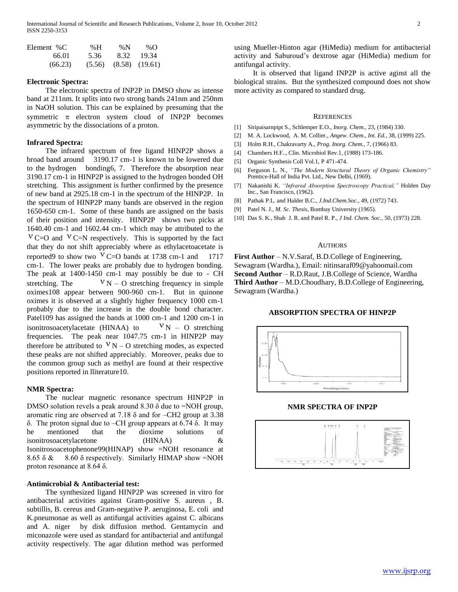International Journal of Scientific and Research Publications, Volume 2, Issue 10, October 2012 2 ISSN 2250-3153

| Element %C | % H  | % $N$                       | % $\Omega$ |
|------------|------|-----------------------------|------------|
| 66.01      | 5.36 | 8.32                        | -19.34     |
| (66.23)    |      | $(5.56)$ $(8.58)$ $(19.61)$ |            |

#### **Electronic Spectra:**

 The electronic spectra of INP2P in DMSO show as intense band at 211nm. It splits into two strong bands 241nm and 250nm in NaOH solution. This can be explained by presuming that the symmetric  $\pi$  electron system cloud of INP2P becomes asymmetric by the dissociations of a proton.

#### **Infrared Spectra:**

 The infrared spectrum of free ligand HINP2P shows a broad band around 3190.17 cm-1 is known to be lowered due to the hydrogen bonding6, 7. Therefore the absorption near 3190.17 cm-1 in HINP2P is assigned to the hydrogen bonded OH stretching. This assignment is further confirmed by the presence of new band at 2925.18 cm-1 in the spectrum of the HINP2P. In the spectrum of HINP2P many bands are observed in the region 1650-650 cm-1. Some of these bands are assigned on the basis of their position and intensity. HINP2P shows two picks at 1640.40 cm-1 and 1602.44 cm-1 which may be attributed to the  $V = 0$  and  $V = N$  respectively. This is supported by the fact that they do not shift appreciably where as ethylacetoacetate is reported9 to show two  $V = 0$  bands at 1738 cm-1 and 1717 cm-1. The lower peaks are probably due to hydrogen bonding. The peak at 1400-1450 cm-1 may possibly be due to - CH stretching. The  $V N - O$  stretching frequency in simple oximes108 appear between 900-960 cm-1. But in quinone oximes it is observed at a slightly higher frequency 1000 cm-1 probably due to the increase in the double bond character. Patel109 has assigned the bands at 1000 cm-1 and 1200 cm-1 in isonitrosoacetylacetate (HINAA) to  $V_{N}$  – O stretching frequencies. The peak near 1047.75 cm-1 in HINP2P may therefore be attributed to  $V N - O$  stretching modes, as expected these peaks are not shifted appreciably. Moreover, peaks due to the common group such as methyl are found at their respective positions reported in lliterature10.

#### **NMR Spectra:**

 The nuclear magnetic resonance spectrum HINP2P in DMSO solution revels a peak around  $8.30 \delta$  due to =NOH group, aromatic ring are observed at 7.18 δ and for –CH2 group at 3.38 δ. The proton signal due to –CH group appears at 6.74 δ. It may be mentioned that the dioxime solutions of isonitrosoacetylacetone (HINAA) & Isonitrosoacetophenone99(HINAP) show =NOH resonance at 8.65  $\delta \&$  8.60  $\delta$  respectively. Similarly HIMAP show =NOH proton resonance at 8.64 δ.

### **Antimicrobial & Antibacterial test:**

 The synthesized ligand HINP2P was screened in vitro for antibacterial activities against Gram-positive S. aureus , B. subtillis, B. cereus and Gram-negative P. aeruginosa, E. coli and K.pneumonae as well as antifungal activities against C. albicans and A. niger by disk diffusion method. Gentamycin and miconazole were used as standard for antibacterial and antifungal activity respectively. The agar dilution method was performed using Mueller-Hinton agar (HiMedia) medium for antibacterial activity and Saburoud's dextrose agar (HiMedia) medium for antifungal activity.

 It is observed that ligand INP2P is active aginst all the biological strains. But the synthesized compound does not show more activity as compared to standard drug.

#### **REFERENCES**

- [1] Siripaisarnpipt S., Schlemper E.O., *Inorg. Chem.,* 23, (1984) 330.
- [2] M. A. Lockwood, A. M. Collier., *Angew. Chem., Int. Ed.*, 38, (1999) 225.
- [3] Holm R.H., Chakravarty A., *Prog. Inorg. Chem.,* 7, (1966) 83.
- [4] Chambers H.F.., Clin. Microbiol Rev.1, (1988) 173-186.
- [5] Organic Synthesis Coll Vol.1, P 471-474.
- [6] Ferguson L. N., *"The Modern Structural Theory of Organic Chemistry"*  Prentice-Hall of India Pvt. Ltd., New Delhi, (1969).
- [7] Nakanishi K. *"Infrared Absorption Spectroscopy Practical,"* Holden Day Inc., San Francisco, (1962).
- [8] Pathak P.L. and Halder B.C., *J.Ind.Chem.Soc.,* 49, (1972) 743.
- [9] Patel N. J., *M. Sc. Thesis*, Bombay University (1965).
- [10] Das S. K., Shah J. R. and Patel R. P., *J Ind. Chem. Soc.,* 50, (1973) 228.

#### **AUTHORS**

**First Author** – N.V.Saraf, B.D.College of Engineering, Sewagram (Wardha.), Email: nitinsaraf09@yahoomail.com **Second Author** – R.D.Raut, J.B.College of Science, Wardha **Third Author** – M.D.Choudhary, B.D.College of Engineering, Sewagram (Wardha.)

#### **ABSORPTION SPECTRA OF HINP2P**



**NMR SPECTRA OF INP2P**